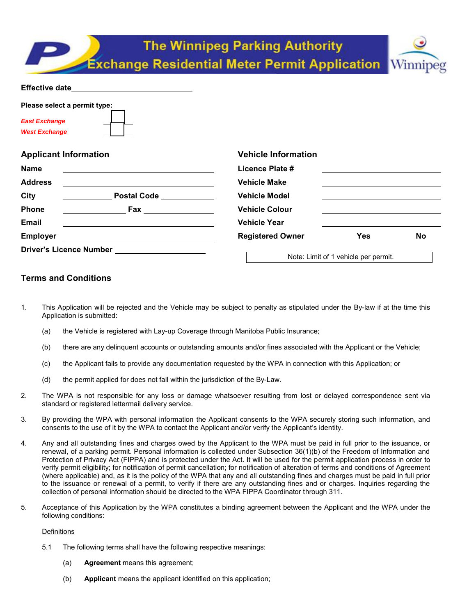|                                                                                                                                                                                                                                | <b>The Winnipeg Parking Authority</b><br><b>Exchange Residential Meter Permit Application Winnipeg</b> |                                      |           |
|--------------------------------------------------------------------------------------------------------------------------------------------------------------------------------------------------------------------------------|--------------------------------------------------------------------------------------------------------|--------------------------------------|-----------|
| Effective date and the state of the state of the state of the state of the state of the state of the state of the state of the state of the state of the state of the state of the state of the state of the state of the stat |                                                                                                        |                                      |           |
| Please select a permit type:<br><b>East Exchange</b><br><b>West Exchange</b>                                                                                                                                                   |                                                                                                        |                                      |           |
| <b>Applicant Information</b>                                                                                                                                                                                                   | <b>Vehicle Information</b>                                                                             |                                      |           |
| <b>Name</b>                                                                                                                                                                                                                    | Licence Plate #                                                                                        |                                      |           |
| <b>Address</b>                                                                                                                                                                                                                 | <b>Vehicle Make</b>                                                                                    |                                      |           |
| City                                                                                                                                                                                                                           | <b>Vehicle Model</b>                                                                                   |                                      |           |
| Phone<br><b>Fax Exercise Exercise Service Service</b>                                                                                                                                                                          | <b>Vehicle Colour</b>                                                                                  |                                      |           |
| Email                                                                                                                                                                                                                          | <b>Vehicle Year</b>                                                                                    |                                      |           |
| <b>Employer</b><br>the contract of the contract of the contract of the contract of the contract of                                                                                                                             | <b>Registered Owner</b>                                                                                | <b>Yes</b>                           | <b>No</b> |
|                                                                                                                                                                                                                                |                                                                                                        | Note: Limit of 1 vehicle per permit. |           |

# **Terms and Conditions**

- 1. This Application will be rejected and the Vehicle may be subject to penalty as stipulated under the By-law if at the time this Application is submitted:
	- (a) the Vehicle is registered with Lay-up Coverage through Manitoba Public Insurance;
	- (b) there are any delinquent accounts or outstanding amounts and/or fines associated with the Applicant or the Vehicle;
	- (c) the Applicant fails to provide any documentation requested by the WPA in connection with this Application; or
	- (d) the permit applied for does not fall within the jurisdiction of the By-Law.
- 2. The WPA is not responsible for any loss or damage whatsoever resulting from lost or delayed correspondence sent via standard or registered lettermail delivery service.
- 3. By providing the WPA with personal information the Applicant consents to the WPA securely storing such information, and consents to the use of it by the WPA to contact the Applicant and/or verify the Applicant's identity.
- 4. Any and all outstanding fines and charges owed by the Applicant to the WPA must be paid in full prior to the issuance, or renewal, of a parking permit. Personal information is collected under Subsection 36(1)(b) of the Freedom of Information and Protection of Privacy Act (FIPPA) and is protected under the Act. It will be used for the permit application process in order to verify permit eligibility; for notification of permit cancellation; for notification of alteration of terms and conditions of Agreement (where applicable) and, as it is the policy of the WPA that any and all outstanding fines and charges must be paid in full prior to the issuance or renewal of a permit, to verify if there are any outstanding fines and or charges. Inquiries regarding the collection of personal information should be directed to the WPA FIPPA Coordinator through 311.
- 5. Acceptance of this Application by the WPA constitutes a binding agreement between the Applicant and the WPA under the following conditions:

## **Definitions**

- 5.1 The following terms shall have the following respective meanings:
	- (a) **Agreement** means this agreement;
	- (b) **Applicant** means the applicant identified on this application;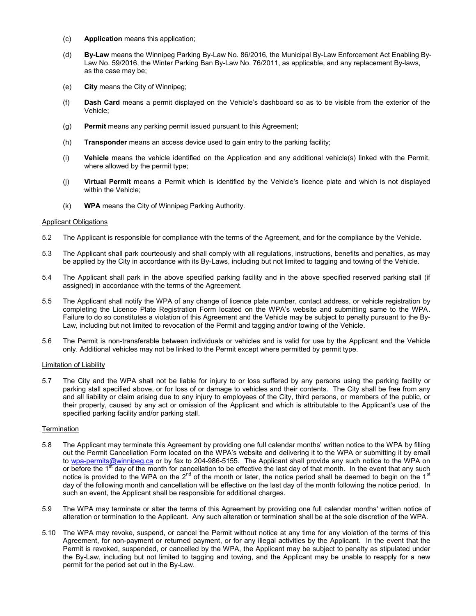- (c) **Application** means this application;
- (d) **By-Law** means the Winnipeg Parking By-Law No. 86/2016, the Municipal By-Law Enforcement Act Enabling By-Law No. 59/2016, the Winter Parking Ban By-Law No. 76/2011, as applicable, and any replacement By-laws, as the case may be;
- (e) **City** means the City of Winnipeg;
- (f) **Dash Card** means a permit displayed on the Vehicle's dashboard so as to be visible from the exterior of the Vehicle;
- (g) **Permit** means any parking permit issued pursuant to this Agreement;
- (h) **Transponder** means an access device used to gain entry to the parking facility;
- (i) **Vehicle** means the vehicle identified on the Application and any additional vehicle(s) linked with the Permit, where allowed by the permit type;
- (j) **Virtual Permit** means a Permit which is identified by the Vehicle's licence plate and which is not displayed within the Vehicle;
- (k) **WPA** means the City of Winnipeg Parking Authority.

#### Applicant Obligations

- 5.2 The Applicant is responsible for compliance with the terms of the Agreement, and for the compliance by the Vehicle.
- 5.3 The Applicant shall park courteously and shall comply with all regulations, instructions, benefits and penalties, as may be applied by the City in accordance with its By-Laws, including but not limited to tagging and towing of the Vehicle.
- 5.4 The Applicant shall park in the above specified parking facility and in the above specified reserved parking stall (if assigned) in accordance with the terms of the Agreement.
- 5.5 The Applicant shall notify the WPA of any change of licence plate number, contact address, or vehicle registration by completing the Licence Plate Registration Form located on the WPA's website and submitting same to the WPA. Failure to do so constitutes a violation of this Agreement and the Vehicle may be subject to penalty pursuant to the By-Law, including but not limited to revocation of the Permit and tagging and/or towing of the Vehicle.
- 5.6 The Permit is non-transferable between individuals or vehicles and is valid for use by the Applicant and the Vehicle only. Additional vehicles may not be linked to the Permit except where permitted by permit type.

#### Limitation of Liability

5.7 The City and the WPA shall not be liable for injury to or loss suffered by any persons using the parking facility or parking stall specified above, or for loss of or damage to vehicles and their contents. The City shall be free from any and all liability or claim arising due to any injury to employees of the City, third persons, or members of the public, or their property, caused by any act or omission of the Applicant and which is attributable to the Applicant's use of the specified parking facility and/or parking stall.

#### **Termination**

- 5.8 The Applicant may terminate this Agreement by providing one full calendar months' written notice to the WPA by filling out the Permit Cancellation Form located on the WPA's website and delivering it to the WPA or submitting it by email to [wpa-permits@winnipeg.ca](mailto:wpa-permits@winnipeg.ca) or by fax to 204-986-5155. The Applicant shall provide any such notice to the WPA on or before the 1<sup>st</sup> day of the month for cancellation to be effective the last day of that month. In the event that any such notice is provided to the WPA on the 2<sup>nd</sup> of the month or later, the notice period shall be deemed to begin on the 1<sup>st</sup> day of the following month and cancellation will be effective on the last day of the month following the notice period. In such an event, the Applicant shall be responsible for additional charges.
- 5.9 The WPA may terminate or alter the terms of this Agreement by providing one full calendar months' written notice of alteration or termination to the Applicant. Any such alteration or termination shall be at the sole discretion of the WPA.
- 5.10 The WPA may revoke, suspend, or cancel the Permit without notice at any time for any violation of the terms of this Agreement, for non-payment or returned payment, or for any illegal activities by the Applicant. In the event that the Permit is revoked, suspended, or cancelled by the WPA, the Applicant may be subject to penalty as stipulated under the By-Law, including but not limited to tagging and towing, and the Applicant may be unable to reapply for a new permit for the period set out in the By-Law.